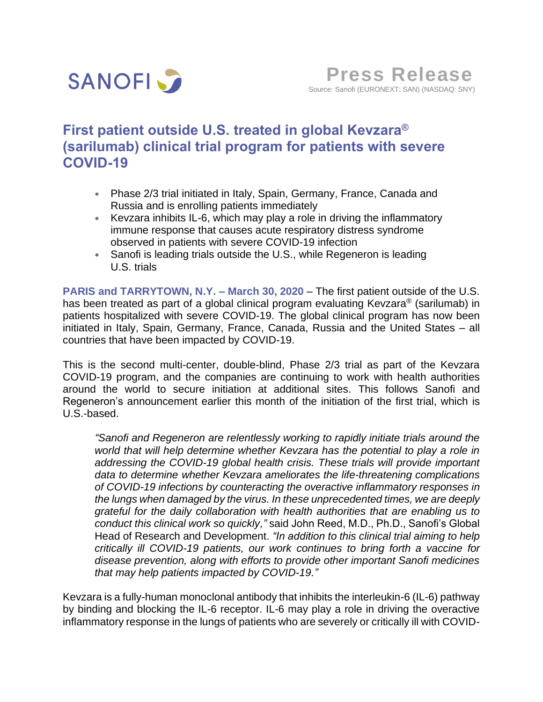

# **First patient outside U.S. treated in global Kevzara® (sarilumab) clinical trial program for patients with severe COVID-19**

- Phase 2/3 trial initiated in Italy, Spain, Germany, France, Canada and Russia and is enrolling patients immediately
- Kevzara inhibits IL-6, which may play a role in driving the inflammatory immune response that causes acute respiratory distress syndrome observed in patients with severe COVID-19 infection
- Sanofi is leading trials outside the U.S., while Regeneron is leading U.S. trials

**PARIS and TARRYTOWN, N.Y. – March 30, 2020** – The first patient outside of the U.S. has been treated as part of a global clinical program evaluating Kevzara® (sarilumab) in patients hospitalized with severe COVID-19. The global clinical program has now been initiated in Italy, Spain, Germany, France, Canada, Russia and the United States – all countries that have been impacted by COVID-19.

This is the second multi-center, double-blind, Phase 2/3 trial as part of the Kevzara COVID-19 program, and the companies are continuing to work with health authorities around the world to secure initiation at additional sites. This follows Sanofi and Regeneron's announcement earlier this month of the initiation of the first trial, which is U.S.-based.

*"Sanofi and Regeneron are relentlessly working to rapidly initiate trials around the world that will help determine whether Kevzara has the potential to play a role in addressing the COVID-19 global health crisis. These trials will provide important data to determine whether Kevzara ameliorates the life-threatening complications of COVID-19 infections by counteracting the overactive inflammatory responses in the lungs when damaged by the virus. In these unprecedented times, we are deeply grateful for the daily collaboration with health authorities that are enabling us to conduct this clinical work so quickly,"* said John Reed, M.D., Ph.D., Sanofi's Global Head of Research and Development. *"In addition to this clinical trial aiming to help critically ill COVID-19 patients, our work continues to bring forth a vaccine for disease prevention, along with efforts to provide other important Sanofi medicines that may help patients impacted by COVID-19."*

Kevzara is a fully-human monoclonal antibody that inhibits the interleukin-6 (IL-6) pathway by binding and blocking the IL-6 receptor. IL-6 may play a role in driving the overactive inflammatory response in the lungs of patients who are severely or critically ill with COVID-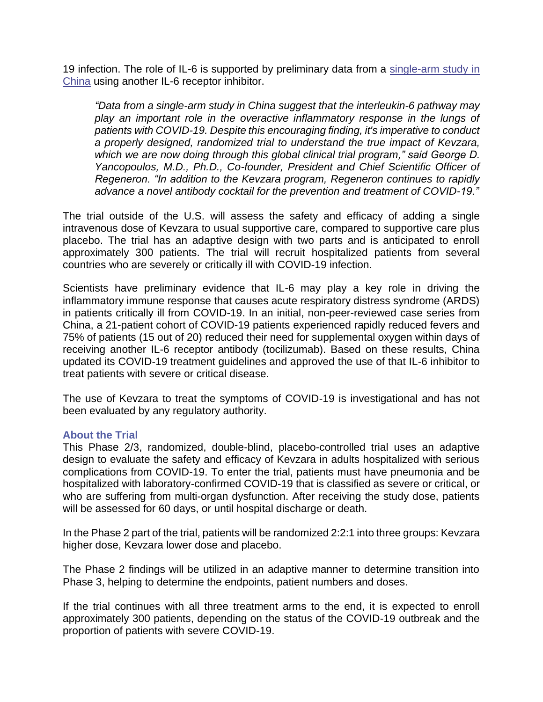19 infection. The role of IL-6 is supported by preliminary data from a [single-arm study in](http://www.chinaxiv.org/abs/202003.00026)  [China](http://www.chinaxiv.org/abs/202003.00026) using another IL-6 receptor inhibitor.

*"Data from a single-arm study in China suggest that the interleukin-6 pathway may play an important role in the overactive inflammatory response in the lungs of patients with COVID-19. Despite this encouraging finding, it's imperative to conduct a properly designed, randomized trial to understand the true impact of Kevzara, which we are now doing through this global clinical trial program," said George D. Yancopoulos, M.D., Ph.D., Co-founder, President and Chief Scientific Officer of Regeneron. "In addition to the Kevzara program, Regeneron continues to rapidly advance a novel antibody cocktail for the prevention and treatment of COVID-19."*

The trial outside of the U.S. will assess the safety and efficacy of adding a single intravenous dose of Kevzara to usual supportive care, compared to supportive care plus placebo. The trial has an adaptive design with two parts and is anticipated to enroll approximately 300 patients. The trial will recruit hospitalized patients from several countries who are severely or critically ill with COVID-19 infection.

Scientists have preliminary evidence that IL-6 may play a key role in driving the inflammatory immune response that causes acute respiratory distress syndrome (ARDS) in patients critically ill from COVID-19. In an initial, non-peer-reviewed case series from China, a 21-patient cohort of COVID-19 patients experienced rapidly reduced fevers and 75% of patients (15 out of 20) reduced their need for supplemental oxygen within days of receiving another IL-6 receptor antibody (tocilizumab). Based on these results, China updated its COVID-19 treatment guidelines and approved the use of that IL-6 inhibitor to treat patients with severe or critical disease.

The use of Kevzara to treat the symptoms of COVID-19 is investigational and has not been evaluated by any regulatory authority.

# **About the Trial**

This Phase 2/3, randomized, double-blind, placebo-controlled trial uses an adaptive design to evaluate the safety and efficacy of Kevzara in adults hospitalized with serious complications from COVID-19. To enter the trial, patients must have pneumonia and be hospitalized with laboratory-confirmed COVID-19 that is classified as severe or critical, or who are suffering from multi-organ dysfunction. After receiving the study dose, patients will be assessed for 60 days, or until hospital discharge or death.

In the Phase 2 part of the trial, patients will be randomized 2:2:1 into three groups: Kevzara higher dose, Kevzara lower dose and placebo.

The Phase 2 findings will be utilized in an adaptive manner to determine transition into Phase 3, helping to determine the endpoints, patient numbers and doses.

If the trial continues with all three treatment arms to the end, it is expected to enroll approximately 300 patients, depending on the status of the COVID-19 outbreak and the proportion of patients with severe COVID-19.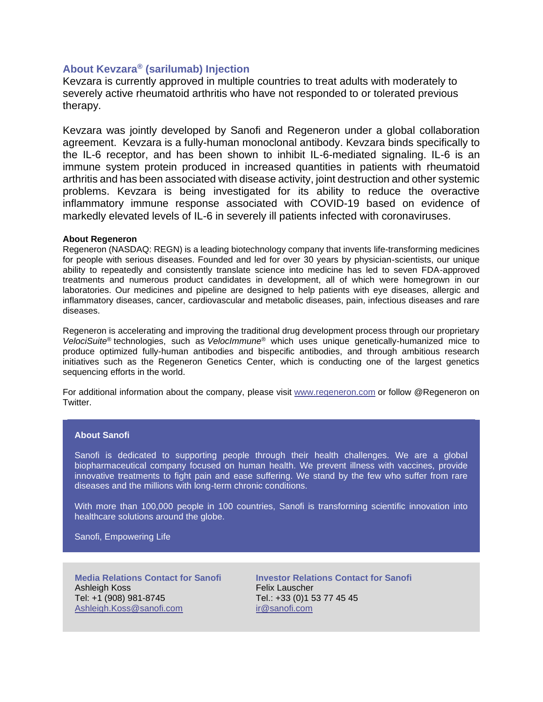# **About Kevzara® (sarilumab) Injection**

Kevzara is currently approved in multiple countries to treat adults with moderately to severely active rheumatoid arthritis who have not responded to or tolerated previous therapy.

Kevzara was jointly developed by Sanofi and Regeneron under a global collaboration agreement. Kevzara is a fully-human monoclonal antibody. Kevzara binds specifically to the IL-6 receptor, and has been shown to inhibit IL-6-mediated signaling. IL-6 is an immune system protein produced in increased quantities in patients with rheumatoid arthritis and has been associated with disease activity, joint destruction and other systemic problems. Kevzara is being investigated for its ability to reduce the overactive inflammatory immune response associated with COVID-19 based on evidence of markedly elevated levels of IL-6 in severely ill patients infected with coronaviruses.

#### **About Regeneron**

Regeneron (NASDAQ: REGN) is a leading biotechnology company that invents life-transforming medicines for people with serious diseases. Founded and led for over 30 years by physician-scientists, our unique ability to repeatedly and consistently translate science into medicine has led to seven FDA-approved treatments and numerous product candidates in development, all of which were homegrown in our laboratories. Our medicines and pipeline are designed to help patients with eye diseases, allergic and inflammatory diseases, cancer, cardiovascular and metabolic diseases, pain, infectious diseases and rare diseases.

Regeneron is accelerating and improving the traditional drug development process through our proprietary *VelociSuite®* technologies, such as *VelocImmune®* which uses unique genetically-humanized mice to produce optimized fully-human antibodies and bispecific antibodies, and through ambitious research initiatives such as the Regeneron Genetics Center, which is conducting one of the largest genetics sequencing efforts in the world.

For additional information about the company, please visit [www.regeneron.com](http://www.regeneron.com/) or follow @Regeneron on Twitter.

## **About Sanofi**

Sanofi is dedicated to supporting people through their health challenges. We are a global biopharmaceutical company focused on human health. We prevent illness with vaccines, provide innovative treatments to fight pain and ease suffering. We stand by the few who suffer from rare diseases and the millions with long-term chronic conditions.

With more than 100,000 people in 100 countries, Sanofi is transforming scientific innovation into healthcare solutions around the globe.

Sanofi, Empowering Life

**Media Relations Contact for Sanofi**  Ashleigh Koss Tel: +1 (908) 981-8745 [Ashleigh.Koss@sanofi.com](mailto:Ashleigh.Koss@sanofi.com)

**Investor Relations Contact for Sanofi** Felix Lauscher Tel.: +33 (0)1 53 77 45 45 [ir@sanofi.com](mailto:ir@sanofi.com)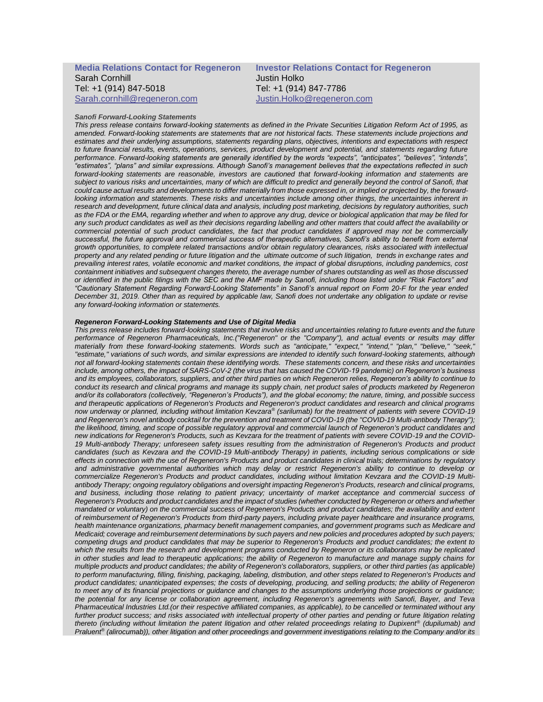#### **Media Relations Contact for Regeneron** Sarah Cornhill Tel: +1 (914) 847-5018 [Sarah.cornhill@regeneron.com](mailto:Sarah.cornhill@regeneron.com)

### **Investor Relations Contact for Regeneron** Justin Holko Tel: +1 (914) 847-7786 [Justin.Holko@regeneron.com](mailto:Justin.Holko@regeneron.com)

#### *Sanofi Forward-Looking Statements*

*This press release contains forward-looking statements as defined in the Private Securities Litigation Reform Act of 1995, as amended. Forward-looking statements are statements that are not historical facts. These statements include projections and estimates and their underlying assumptions, statements regarding plans, objectives, intentions and expectations with respect to future financial results, events, operations, services, product development and potential, and statements regarding future performance. Forward-looking statements are generally identified by the words "expects", "anticipates", "believes", "intends", "estimates", "plans" and similar expressions. Although Sanofi's management believes that the expectations reflected in such forward-looking statements are reasonable, investors are cautioned that forward-looking information and statements are subject to various risks and uncertainties, many of which are difficult to predict and generally beyond the control of Sanofi, that could cause actual results and developments to differ materially from those expressed in, or implied or projected by, the forwardlooking information and statements. These risks and uncertainties include among other things, the uncertainties inherent in research and development, future clinical data and analysis, including post marketing, decisions by regulatory authorities, such as the FDA or the EMA, regarding whether and when to approve any drug, device or biological application that may be filed for any such product candidates as well as their decisions regarding labelling and other matters that could affect the availability or commercial potential of such product candidates, the fact that product candidates if approved may not be commercially successful, the future approval and commercial success of therapeutic alternatives, Sanofi's ability to benefit from external growth opportunities, to complete related transactions and/or obtain regulatory clearances, risks associated with intellectual property and any related pending or future litigation and the ultimate outcome of such litigation, trends in exchange rates and prevailing interest rates, volatile economic and market conditions, the impact of global disruptions, including pandemics, cost containment initiatives and subsequent changes thereto, the average number of shares outstanding as well as those discussed or identified in the public filings with the SEC and the AMF made by Sanofi, including those listed under "Risk Factors" and "Cautionary Statement Regarding Forward-Looking Statements" in Sanofi's annual report on Form 20-F for the year ended December 31, 2019. Other than as required by applicable law, Sanofi does not undertake any obligation to update or revise any forward-looking information or statements.*

#### *Regeneron Forward-Looking Statements and Use of Digital Media*

*This press release includes forward-looking statements that involve risks and uncertainties relating to future events and the future performance of Regeneron Pharmaceuticals, Inc.("Regeneron" or the "Company"), and actual events or results may differ materially from these forward-looking statements. Words such as "anticipate," "expect," "intend," "plan," "believe," "seek," "estimate," variations of such words, and similar expressions are intended to identify such forward-looking statements, although not all forward-looking statements contain these identifying words. These statements concern, and these risks and uncertainties include, among others, the impact of SARS-CoV-2 (the virus that has caused the COVID-19 pandemic) on Regeneron's business and its employees, collaborators, suppliers, and other third parties on which Regeneron relies, Regeneron's ability to continue to conduct its research and clinical programs and manage its supply chain, net product sales of products marketed by Regeneron and/or its collaborators (collectively, "Regeneron's Products"), and the global economy; the nature, timing, and possible success and therapeutic applications of Regeneron's Products and Regeneron's product candidates and research and clinical programs now underway or planned, including without limitation Kevzara® (sarilumab) for the treatment of patients with severe COVID-19 and Regeneron's novel antibody cocktail for the prevention and treatment of COVID-19 (the "COVID-19 Multi-antibody Therapy"); the likelihood, timing, and scope of possible regulatory approval and commercial launch of Regeneron's product candidates and new indications for Regeneron's Products, such as Kevzara for the treatment of patients with severe COVID-19 and the COVID-19 Multi-antibody Therapy; unforeseen safety issues resulting from the administration of Regeneron's Products and product candidates (such as Kevzara and the COVID-19 Multi-antibody Therapy) in patients, including serious complications or side effects in connection with the use of Regeneron's Products and product candidates in clinical trials; determinations by regulatory and administrative governmental authorities which may delay or restrict Regeneron's ability to continue to develop or commercialize Regeneron's Products and product candidates, including without limitation Kevzara and the COVID-19 Multiantibody Therapy; ongoing regulatory obligations and oversight impacting Regeneron's Products, research and clinical programs, and business, including those relating to patient privacy; uncertainty of market acceptance and commercial success of Regeneron's Products and product candidates and the impact of studies (whether conducted by Regeneron or others and whether mandated or voluntary) on the commercial success of Regeneron's Products and product candidates; the availability and extent of reimbursement of Regeneron's Products from third-party payers, including private payer healthcare and insurance programs, health maintenance organizations, pharmacy benefit management companies, and government programs such as Medicare and Medicaid; coverage and reimbursement determinations by such payers and new policies and procedures adopted by such payers; competing drugs and product candidates that may be superior to Regeneron's Products and product candidates; the extent to*  which the results from the research and development programs conducted by Regeneron or its collaborators may be replicated *in other studies and lead to therapeutic applications; the ability of Regeneron to manufacture and manage supply chains for multiple products and product candidates; the ability of Regeneron's collaborators, suppliers, or other third parties (as applicable) to perform manufacturing, filling, finishing, packaging, labeling, distribution, and other steps related to Regeneron's Products and product candidates; unanticipated expenses; the costs of developing, producing, and selling products; the ability of Regeneron to meet any of its financial projections or guidance and changes to the assumptions underlying those projections or guidance; the potential for any license or collaboration agreement, including Regeneron's agreements with Sanofi, Bayer, and Teva Pharmaceutical Industries Ltd.(or their respective affiliated companies, as applicable), to be cancelled or terminated without any*  further product success; and risks associated with intellectual property of other parties and pending or future litigation relating *thereto (including without limitation the patent litigation and other related proceedings relating to Dupixent® (dupilumab) and Praluent® (alirocumab)), other litigation and other proceedings and government investigations relating to the Company and/or its*